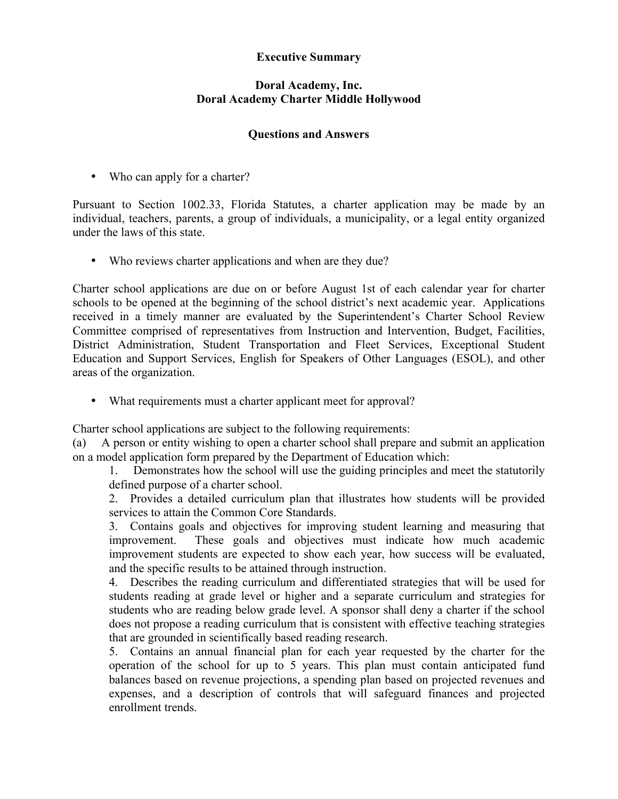## **Executive Summary**

## **Doral Academy, Inc. Doral Academy Charter Middle Hollywood**

## **Questions and Answers**

• Who can apply for a charter?

Pursuant to Section 1002.33, Florida Statutes, a charter application may be made by an individual, teachers, parents, a group of individuals, a municipality, or a legal entity organized under the laws of this state.

• Who reviews charter applications and when are they due?

Charter school applications are due on or before August 1st of each calendar year for charter schools to be opened at the beginning of the school district's next academic year. Applications received in a timely manner are evaluated by the Superintendent's Charter School Review Committee comprised of representatives from Instruction and Intervention, Budget, Facilities, District Administration, Student Transportation and Fleet Services, Exceptional Student Education and Support Services, English for Speakers of Other Languages (ESOL), and other areas of the organization.

• What requirements must a charter applicant meet for approval?

Charter school applications are subject to the following requirements:

(a) A person or entity wishing to open a charter school shall prepare and submit an application on a model application form prepared by the Department of Education which:

1. Demonstrates how the school will use the guiding principles and meet the statutorily defined purpose of a charter school.

2. Provides a detailed curriculum plan that illustrates how students will be provided services to attain the Common Core Standards.

3. Contains goals and objectives for improving student learning and measuring that improvement. These goals and objectives must indicate how much academic improvement students are expected to show each year, how success will be evaluated, and the specific results to be attained through instruction.

4. Describes the reading curriculum and differentiated strategies that will be used for students reading at grade level or higher and a separate curriculum and strategies for students who are reading below grade level. A sponsor shall deny a charter if the school does not propose a reading curriculum that is consistent with effective teaching strategies that are grounded in scientifically based reading research.

5. Contains an annual financial plan for each year requested by the charter for the operation of the school for up to 5 years. This plan must contain anticipated fund balances based on revenue projections, a spending plan based on projected revenues and expenses, and a description of controls that will safeguard finances and projected enrollment trends.